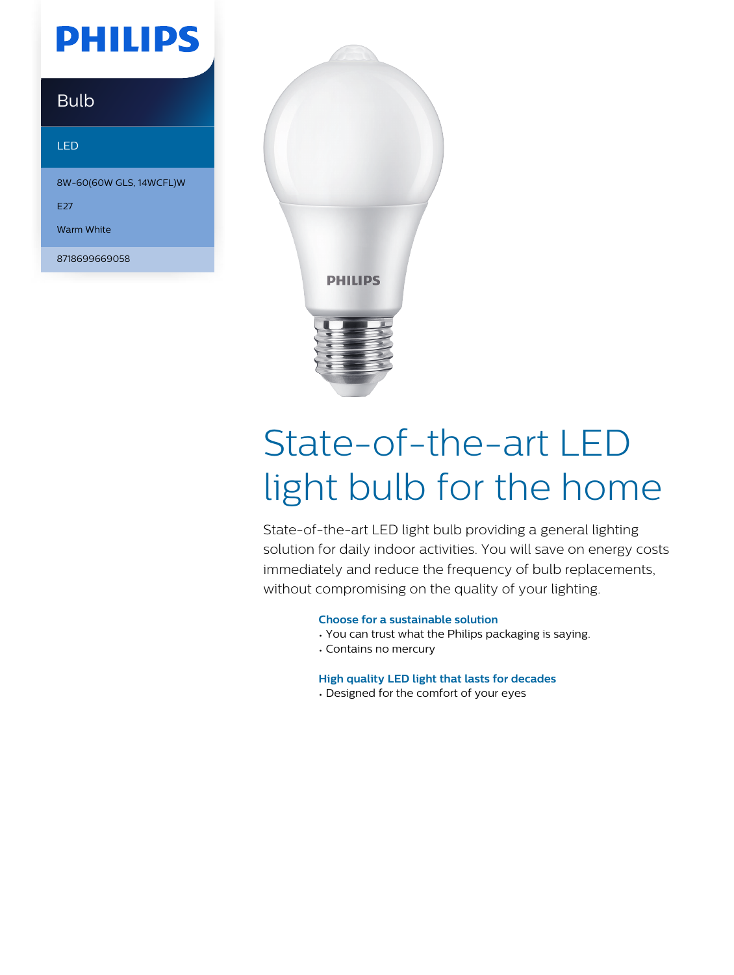## **PHILIPS**

### **Bulb**

#### LED

8W-60(60W GLS, 14WCFL)W

E27

Warm White

8718699669058



# State-of-the-art LED light bulb for the home

State-of-the-art LED light bulb providing a general lighting solution for daily indoor activities. You will save on energy costs immediately and reduce the frequency of bulb replacements, without compromising on the quality of your lighting.

#### **Choose for a sustainable solution**

- You can trust what the Philips packaging is saying.
- Contains no mercury

#### **High quality LED light that lasts for decades**

• Designed for the comfort of your eyes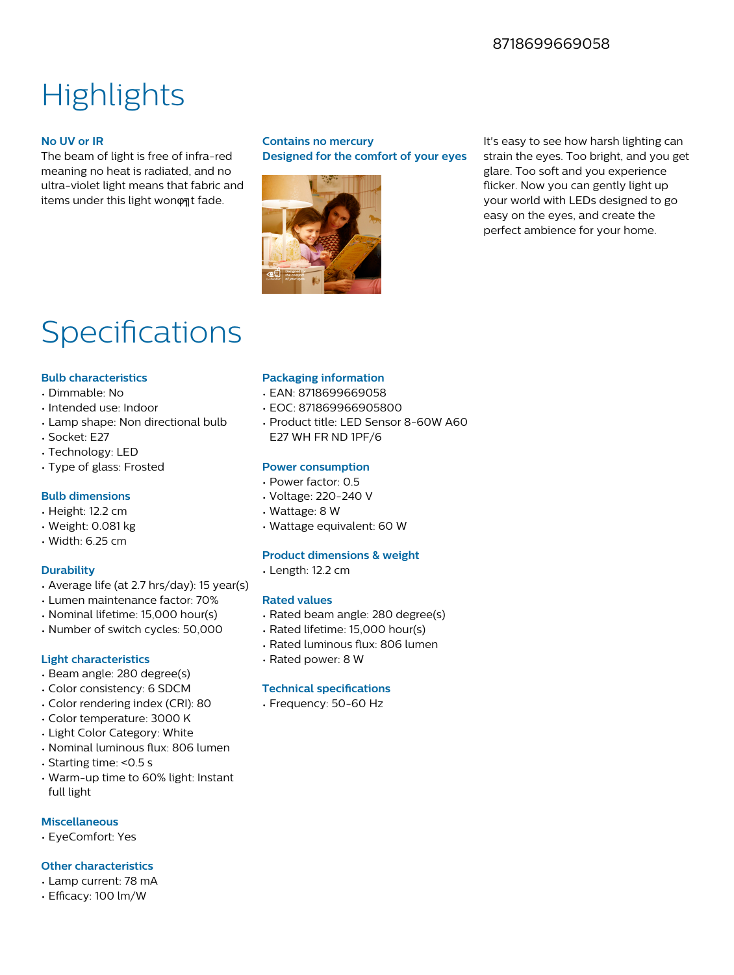#### 8718699669058

### **Highlights**

#### **No UV or IR**

The beam of light is free of infra-red meaning no heat is radiated, and no ultra-violet light means that fabric and items under this light won on t fade.

#### **Contains no mercury Designed for the comfort of your eyes**



It's easy to see how harsh lighting can strain the eyes. Too bright, and you get glare. Too soft and you experience flicker. Now you can gently light up your world with LEDs designed to go easy on the eyes, and create the perfect ambience for your home.

### Specifications

#### **Bulb characteristics**

- Dimmable: No
- Intended use: Indoor
- Lamp shape: Non directional bulb
- Socket: E27
- Technology: LED
- Type of glass: Frosted

#### **Bulb dimensions**

- Height: 12.2 cm
- Weight: 0.081 kg
- Width: 6.25 cm

#### **Durability**

- Average life (at 2.7 hrs/day): 15 year(s)
- Lumen maintenance factor: 70%
- Nominal lifetime: 15,000 hour(s)
- Number of switch cycles: 50,000

#### **Light characteristics**

- Beam angle: 280 degree(s)
- Color consistency: 6 SDCM
- Color rendering index (CRI): 80
- Color temperature: 3000 K
- Light Color Category: White
- Nominal luminous flux: 806 lumen
- Starting time: <0.5 s
- Warm-up time to 60% light: Instant full light

#### **Miscellaneous**

• EyeComfort: Yes

#### **Other characteristics**

- Lamp current: 78 mA
- Efficacy: 100 lm/W

#### **Packaging information**

- EAN: 8718699669058
- EOC: 871869966905800
- Product title: LED Sensor 8-60W A60 E27 WH FR ND 1PF/6

#### **Power consumption**

- Power factor: 0.5
- Voltage: 220-240 V
- Wattage: 8 W
- Wattage equivalent: 60 W

#### **Product dimensions & weight**

• Length: 12.2 cm

#### **Rated values**

- Rated beam angle: 280 degree(s)
- Rated lifetime: 15,000 hour(s)
- Rated luminous flux: 806 lumen
- Rated power: 8 W

#### **Technical specifications**

• Frequency: 50-60 Hz